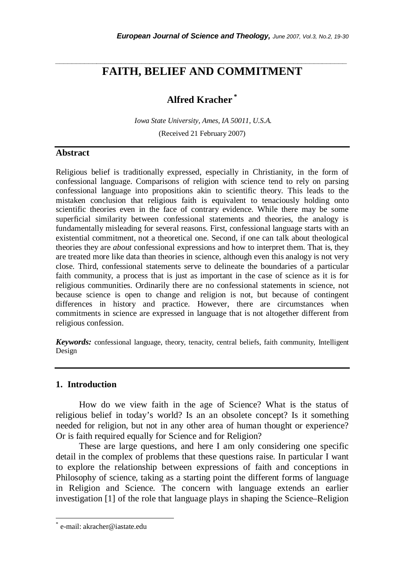## *\_\_\_\_\_\_\_\_\_\_\_\_\_\_\_\_\_\_\_\_\_\_\_\_\_\_\_\_\_\_\_\_\_\_\_\_\_\_\_\_\_\_\_\_\_\_\_\_\_\_\_\_\_\_\_\_\_\_\_\_\_\_\_\_\_\_\_\_\_\_\_*  **FAITH, BELIEF AND COMMITMENT**

# **Alfred Kracher \***

 *Iowa State University, Ames, IA 50011, U.S.A.*  (Received 21 February 2007)

## **Abstract**

Religious belief is traditionally expressed, especially in Christianity, in the form of confessional language. Comparisons of religion with science tend to rely on parsing confessional language into propositions akin to scientific theory. This leads to the mistaken conclusion that religious faith is equivalent to tenaciously holding onto scientific theories even in the face of contrary evidence. While there may be some superficial similarity between confessional statements and theories, the analogy is fundamentally misleading for several reasons. First, confessional language starts with an existential commitment, not a theoretical one. Second, if one can talk about theological theories they are *about* confessional expressions and how to interpret them. That is, they are treated more like data than theories in science, although even this analogy is not very close. Third, confessional statements serve to delineate the boundaries of a particular faith community, a process that is just as important in the case of science as it is for religious communities. Ordinarily there are no confessional statements in science, not because science is open to change and religion is not, but because of contingent differences in history and practice. However, there are circumstances when commitments in science are expressed in language that is not altogether different from religious confession.

*Keywords:* confessional language, theory, tenacity, central beliefs, faith community, Intelligent Design

#### **1. Introduction**

 How do we view faith in the age of Science? What is the status of religious belief in today's world? Is an an obsolete concept? Is it something needed for religion, but not in any other area of human thought or experience? Or is faith required equally for Science and for Religion?

 These are large questions, and here I am only considering one specific detail in the complex of problems that these questions raise. In particular I want to explore the relationship between expressions of faith and conceptions in Philosophy of science, taking as a starting point the different forms of language in Religion and Science. The concern with language extends an earlier investigation [1] of the role that language plays in shaping the Science–Religion

l

<sup>\*</sup> e-mail: akracher@iastate.edu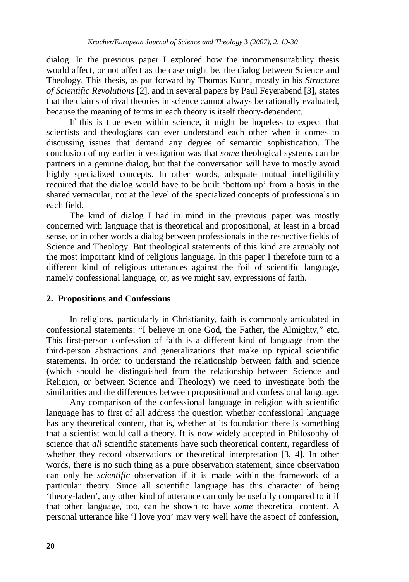dialog. In the previous paper I explored how the incommensurability thesis would affect, or not affect as the case might be, the dialog between Science and Theology. This thesis, as put forward by Thomas Kuhn, mostly in his *Structure of Scientific Revolutions* [2], and in several papers by Paul Feyerabend [3], states that the claims of rival theories in science cannot always be rationally evaluated, because the meaning of terms in each theory is itself theory-dependent.

 If this is true even within science, it might be hopeless to expect that scientists and theologians can ever understand each other when it comes to discussing issues that demand any degree of semantic sophistication. The conclusion of my earlier investigation was that *some* theological systems can be partners in a genuine dialog, but that the conversation will have to mostly avoid highly specialized concepts. In other words, adequate mutual intelligibility required that the dialog would have to be built 'bottom up' from a basis in the shared vernacular, not at the level of the specialized concepts of professionals in each field.

 The kind of dialog I had in mind in the previous paper was mostly concerned with language that is theoretical and propositional, at least in a broad sense, or in other words a dialog between professionals in the respective fields of Science and Theology. But theological statements of this kind are arguably not the most important kind of religious language. In this paper I therefore turn to a different kind of religious utterances against the foil of scientific language, namely confessional language, or, as we might say, expressions of faith.

## **2. Propositions and Confessions**

 In religions, particularly in Christianity, faith is commonly articulated in confessional statements: "I believe in one God, the Father, the Almighty," etc. This first-person confession of faith is a different kind of language from the third-person abstractions and generalizations that make up typical scientific statements. In order to understand the relationship between faith and science (which should be distinguished from the relationship between Science and Religion, or between Science and Theology) we need to investigate both the similarities and the differences between propositional and confessional language.

 Any comparison of the confessional language in religion with scientific language has to first of all address the question whether confessional language has any theoretical content, that is, whether at its foundation there is something that a scientist would call a theory. It is now widely accepted in Philosophy of science that *all* scientific statements have such theoretical content, regardless of whether they record observations or theoretical interpretation [3, 4]. In other words, there is no such thing as a pure observation statement, since observation can only be *scientific* observation if it is made within the framework of a particular theory. Since all scientific language has this character of being 'theory-laden', any other kind of utterance can only be usefully compared to it if that other language, too, can be shown to have *some* theoretical content. A personal utterance like 'I love you' may very well have the aspect of confession,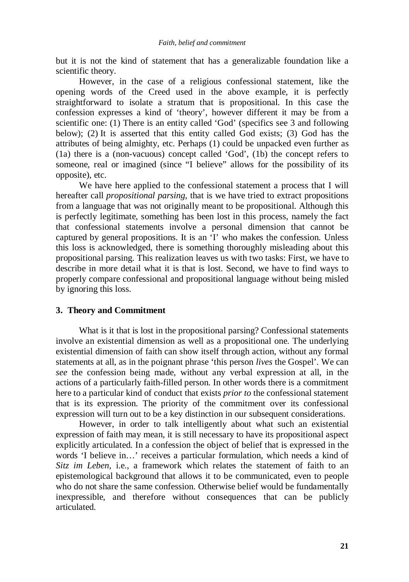but it is not the kind of statement that has a generalizable foundation like a scientific theory.

 However, in the case of a religious confessional statement, like the opening words of the Creed used in the above example, it is perfectly straightforward to isolate a stratum that is propositional. In this case the confession expresses a kind of 'theory', however different it may be from a scientific one: (1) There is an entity called 'God' (specifics see 3 and following below); (2) It is asserted that this entity called God exists; (3) God has the attributes of being almighty, etc. Perhaps (1) could be unpacked even further as (1a) there is a (non-vacuous) concept called 'God', (1b) the concept refers to someone, real or imagined (since "I believe" allows for the possibility of its opposite), etc.

 We have here applied to the confessional statement a process that I will hereafter call *propositional parsing*, that is we have tried to extract propositions from a language that was not originally meant to be propositional. Although this is perfectly legitimate, something has been lost in this process, namely the fact that confessional statements involve a personal dimension that cannot be captured by general propositions. It is an 'I' who makes the confession. Unless this loss is acknowledged, there is something thoroughly misleading about this propositional parsing. This realization leaves us with two tasks: First, we have to describe in more detail what it is that is lost. Second, we have to find ways to properly compare confessional and propositional language without being misled by ignoring this loss.

#### **3. Theory and Commitment**

What is it that is lost in the propositional parsing? Confessional statements involve an existential dimension as well as a propositional one. The underlying existential dimension of faith can show itself through action, without any formal statements at all, as in the poignant phrase 'this person *lives* the Gospel'. We can *see* the confession being made, without any verbal expression at all, in the actions of a particularly faith-filled person. In other words there is a commitment here to a particular kind of conduct that exists *prior to* the confessional statement that is its expression. The priority of the commitment over its confessional expression will turn out to be a key distinction in our subsequent considerations.

 However, in order to talk intelligently about what such an existential expression of faith may mean, it is still necessary to have its propositional aspect explicitly articulated. In a confession the object of belief that is expressed in the words 'I believe in…' receives a particular formulation, which needs a kind of *Sitz im Leben,* i.e., a framework which relates the statement of faith to an epistemological background that allows it to be communicated, even to people who do not share the same confession. Otherwise belief would be fundamentally inexpressible, and therefore without consequences that can be publicly articulated.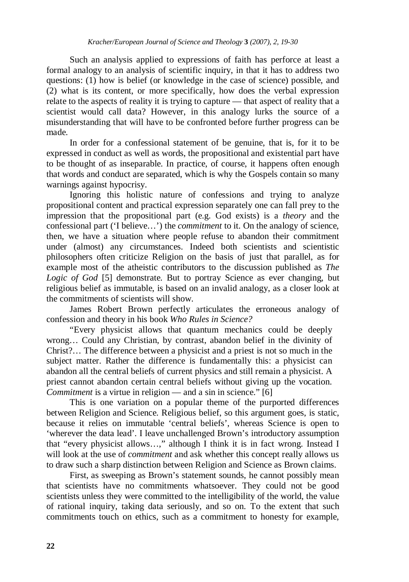Such an analysis applied to expressions of faith has perforce at least a formal analogy to an analysis of scientific inquiry, in that it has to address two questions: (1) how is belief (or knowledge in the case of science) possible, and (2) what is its content, or more specifically, how does the verbal expression relate to the aspects of reality it is trying to capture — that aspect of reality that a scientist would call data? However, in this analogy lurks the source of a misunderstanding that will have to be confronted before further progress can be made.

 In order for a confessional statement of be genuine, that is, for it to be expressed in conduct as well as words, the propositional and existential part have to be thought of as inseparable. In practice, of course, it happens often enough that words and conduct are separated, which is why the Gospels contain so many warnings against hypocrisy.

 Ignoring this holistic nature of confessions and trying to analyze propositional content and practical expression separately one can fall prey to the impression that the propositional part (e.g. God exists) is a *theory* and the confessional part ('I believe…') the *commitment* to it. On the analogy of science, then, we have a situation where people refuse to abandon their commitment under (almost) any circumstances. Indeed both scientists and scientistic philosophers often criticize Religion on the basis of just that parallel, as for example most of the atheistic contributors to the discussion published as *The Logic of God* [5] demonstrate. But to portray Science as ever changing, but religious belief as immutable, is based on an invalid analogy, as a closer look at the commitments of scientists will show.

 James Robert Brown perfectly articulates the erroneous analogy of confession and theory in his book *Who Rules in Science?*

 "Every physicist allows that quantum mechanics could be deeply wrong… Could any Christian, by contrast, abandon belief in the divinity of Christ?… The difference between a physicist and a priest is not so much in the subject matter. Rather the difference is fundamentally this: a physicist can abandon all the central beliefs of current physics and still remain a physicist. A priest cannot abandon certain central beliefs without giving up the vocation. *Commitment* is a virtue in religion — and a sin in science." [6]

 This is one variation on a popular theme of the purported differences between Religion and Science. Religious belief, so this argument goes, is static, because it relies on immutable 'central beliefs', whereas Science is open to 'wherever the data lead'. I leave unchallenged Brown's introductory assumption that "every physicist allows…," although I think it is in fact wrong. Instead I will look at the use of *commitment* and ask whether this concept really allows us to draw such a sharp distinction between Religion and Science as Brown claims.

 First, as sweeping as Brown's statement sounds, he cannot possibly mean that scientists have no commitments whatsoever. They could not be good scientists unless they were committed to the intelligibility of the world, the value of rational inquiry, taking data seriously, and so on. To the extent that such commitments touch on ethics, such as a commitment to honesty for example,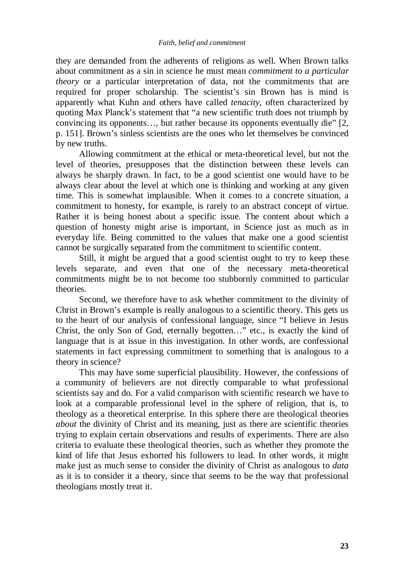#### *Faith, belief and commitment*

they are demanded from the adherents of religions as well. When Brown talks about commitment as a sin in science he must mean *commitment to a particular theory* or a particular interpretation of data, not the commitments that are required for proper scholarship. The scientist's sin Brown has is mind is apparently what Kuhn and others have called *tenacity*, often characterized by quoting Max Planck's statement that "a new scientific truth does not triumph by convincing its opponents…, but rather because its opponents eventually die" [2, p. 151]. Brown's sinless scientists are the ones who let themselves be convinced by new truths.

 Allowing commitment at the ethical or meta-theoretical level, but not the level of theories, presupposes that the distinction between these levels can always be sharply drawn. In fact, to be a good scientist one would have to be always clear about the level at which one is thinking and working at any given time. This is somewhat implausible. When it comes to a concrete situation, a commitment to honesty, for example, is rarely to an abstract concept of virtue. Rather it is being honest about a specific issue. The content about which a question of honesty might arise is important, in Science just as much as in everyday life. Being committed to the values that make one a good scientist cannot be surgically separated from the commitment to scientific content.

 Still, it might be argued that a good scientist ought to try to keep these levels separate, and even that one of the necessary meta-theoretical commitments might be to not become too stubbornly committed to particular theories.

 Second, we therefore have to ask whether commitment to the divinity of Christ in Brown's example is really analogous to a scientific theory. This gets us to the heart of our analysis of confessional language, since "I believe in Jesus Christ, the only Son of God, eternally begotten…" etc., is exactly the kind of language that is at issue in this investigation. In other words, are confessional statements in fact expressing commitment to something that is analogous to a theory in science?

 This may have some superficial plausibility. However, the confessions of a community of believers are not directly comparable to what professional scientists say and do. For a valid comparison with scientific research we have to look at a comparable professional level in the sphere of religion, that is, to theology as a theoretical enterprise. In this sphere there are theological theories *about* the divinity of Christ and its meaning, just as there are scientific theories trying to explain certain observations and results of experiments. There are also criteria to evaluate these theological theories, such as whether they promote the kind of life that Jesus exhorted his followers to lead. In other words, it might make just as much sense to consider the divinity of Christ as analogous to *data*  as it is to consider it a theory, since that seems to be the way that professional theologians mostly treat it.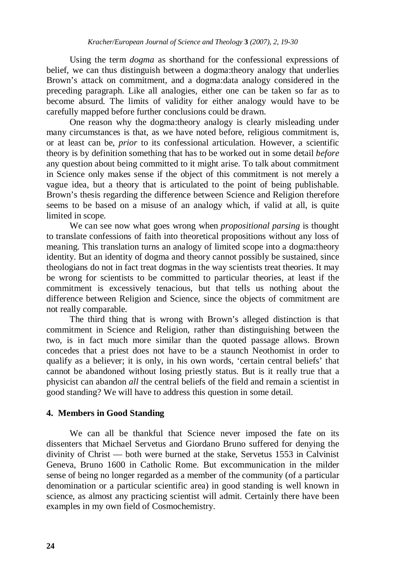Using the term *dogma* as shorthand for the confessional expressions of belief, we can thus distinguish between a dogma:theory analogy that underlies Brown's attack on commitment, and a dogma:data analogy considered in the preceding paragraph. Like all analogies, either one can be taken so far as to become absurd. The limits of validity for either analogy would have to be carefully mapped before further conclusions could be drawn.

 One reason why the dogma:theory analogy is clearly misleading under many circumstances is that, as we have noted before, religious commitment is, or at least can be, *prior* to its confessional articulation. However, a scientific theory is by definition something that has to be worked out in some detail *before*  any question about being committed to it might arise. To talk about commitment in Science only makes sense if the object of this commitment is not merely a vague idea, but a theory that is articulated to the point of being publishable. Brown's thesis regarding the difference between Science and Religion therefore seems to be based on a misuse of an analogy which, if valid at all, is quite limited in scope.

 We can see now what goes wrong when *propositional parsing* is thought to translate confessions of faith into theoretical propositions without any loss of meaning. This translation turns an analogy of limited scope into a dogma:theory identity. But an identity of dogma and theory cannot possibly be sustained, since theologians do not in fact treat dogmas in the way scientists treat theories. It may be wrong for scientists to be committed to particular theories, at least if the commitment is excessively tenacious, but that tells us nothing about the difference between Religion and Science, since the objects of commitment are not really comparable.

 The third thing that is wrong with Brown's alleged distinction is that commitment in Science and Religion, rather than distinguishing between the two, is in fact much more similar than the quoted passage allows. Brown concedes that a priest does not have to be a staunch Neothomist in order to qualify as a believer; it is only, in his own words, 'certain central beliefs' that cannot be abandoned without losing priestly status. But is it really true that a physicist can abandon *all* the central beliefs of the field and remain a scientist in good standing? We will have to address this question in some detail.

## **4. Members in Good Standing**

 We can all be thankful that Science never imposed the fate on its dissenters that Michael Servetus and Giordano Bruno suffered for denying the divinity of Christ — both were burned at the stake, Servetus 1553 in Calvinist Geneva, Bruno 1600 in Catholic Rome. But excommunication in the milder sense of being no longer regarded as a member of the community (of a particular denomination or a particular scientific area) in good standing is well known in science, as almost any practicing scientist will admit. Certainly there have been examples in my own field of Cosmochemistry.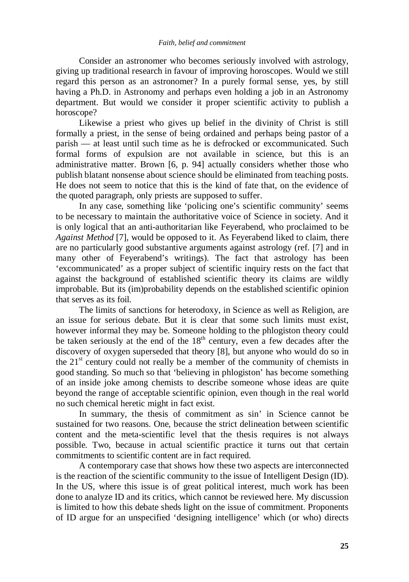#### *Faith, belief and commitment*

 Consider an astronomer who becomes seriously involved with astrology, giving up traditional research in favour of improving horoscopes. Would we still regard this person as an astronomer? In a purely formal sense, yes, by still having a Ph.D. in Astronomy and perhaps even holding a job in an Astronomy department. But would we consider it proper scientific activity to publish a horoscope?

 Likewise a priest who gives up belief in the divinity of Christ is still formally a priest, in the sense of being ordained and perhaps being pastor of a parish — at least until such time as he is defrocked or excommunicated. Such formal forms of expulsion are not available in science, but this is an administrative matter. Brown [6, p. 94] actually considers whether those who publish blatant nonsense about science should be eliminated from teaching posts. He does not seem to notice that this is the kind of fate that, on the evidence of the quoted paragraph, only priests are supposed to suffer.

 In any case, something like 'policing one's scientific community' seems to be necessary to maintain the authoritative voice of Science in society. And it is only logical that an anti-authoritarian like Feyerabend, who proclaimed to be *Against Method* [7], would be opposed to it. As Feyerabend liked to claim, there are no particularly good substantive arguments against astrology (ref. [7] and in many other of Feyerabend's writings). The fact that astrology has been 'excommunicated' as a proper subject of scientific inquiry rests on the fact that against the background of established scientific theory its claims are wildly improbable. But its (im)probability depends on the established scientific opinion that serves as its foil.

 The limits of sanctions for heterodoxy, in Science as well as Religion, are an issue for serious debate. But it is clear that some such limits must exist, however informal they may be. Someone holding to the phlogiston theory could be taken seriously at the end of the  $18<sup>th</sup>$  century, even a few decades after the discovery of oxygen superseded that theory [8], but anyone who would do so in the  $21<sup>st</sup>$  century could not really be a member of the community of chemists in good standing. So much so that 'believing in phlogiston' has become something of an inside joke among chemists to describe someone whose ideas are quite beyond the range of acceptable scientific opinion, even though in the real world no such chemical heretic might in fact exist.

 In summary, the thesis of commitment as sin' in Science cannot be sustained for two reasons. One, because the strict delineation between scientific content and the meta-scientific level that the thesis requires is not always possible. Two, because in actual scientific practice it turns out that certain commitments to scientific content are in fact required.

 A contemporary case that shows how these two aspects are interconnected is the reaction of the scientific community to the issue of Intelligent Design (ID). In the US, where this issue is of great political interest, much work has been done to analyze ID and its critics, which cannot be reviewed here. My discussion is limited to how this debate sheds light on the issue of commitment. Proponents of ID argue for an unspecified 'designing intelligence' which (or who) directs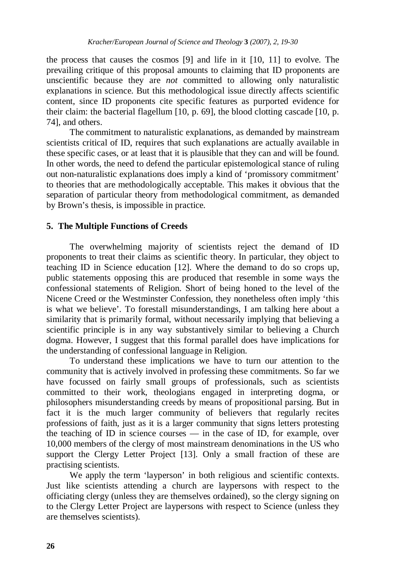the process that causes the cosmos [9] and life in it [10, 11] to evolve. The prevailing critique of this proposal amounts to claiming that ID proponents are unscientific because they are *not* committed to allowing only naturalistic explanations in science. But this methodological issue directly affects scientific content, since ID proponents cite specific features as purported evidence for their claim: the bacterial flagellum [10, p. 69], the blood clotting cascade [10, p. 74], and others.

 The commitment to naturalistic explanations, as demanded by mainstream scientists critical of ID, requires that such explanations are actually available in these specific cases, or at least that it is plausible that they can and will be found. In other words, the need to defend the particular epistemological stance of ruling out non-naturalistic explanations does imply a kind of 'promissory commitment' to theories that are methodologically acceptable. This makes it obvious that the separation of particular theory from methodological commitment, as demanded by Brown's thesis, is impossible in practice.

### **5. The Multiple Functions of Creeds**

 The overwhelming majority of scientists reject the demand of ID proponents to treat their claims as scientific theory. In particular, they object to teaching ID in Science education [12]. Where the demand to do so crops up, public statements opposing this are produced that resemble in some ways the confessional statements of Religion. Short of being honed to the level of the Nicene Creed or the Westminster Confession, they nonetheless often imply 'this is what we believe'. To forestall misunderstandings, I am talking here about a similarity that is primarily formal, without necessarily implying that believing a scientific principle is in any way substantively similar to believing a Church dogma. However, I suggest that this formal parallel does have implications for the understanding of confessional language in Religion.

 To understand these implications we have to turn our attention to the community that is actively involved in professing these commitments. So far we have focussed on fairly small groups of professionals, such as scientists committed to their work, theologians engaged in interpreting dogma, or philosophers misunderstanding creeds by means of propositional parsing. But in fact it is the much larger community of believers that regularly recites professions of faith, just as it is a larger community that signs letters protesting the teaching of ID in science courses — in the case of ID, for example, over 10,000 members of the clergy of most mainstream denominations in the US who support the Clergy Letter Project [13]. Only a small fraction of these are practising scientists.

 We apply the term 'layperson' in both religious and scientific contexts. Just like scientists attending a church are laypersons with respect to the officiating clergy (unless they are themselves ordained), so the clergy signing on to the Clergy Letter Project are laypersons with respect to Science (unless they are themselves scientists).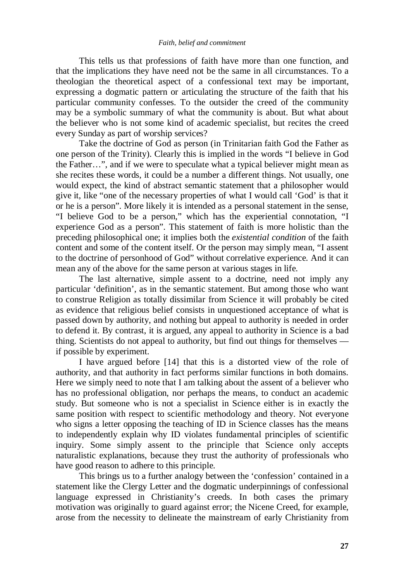#### *Faith, belief and commitment*

 This tells us that professions of faith have more than one function, and that the implications they have need not be the same in all circumstances. To a theologian the theoretical aspect of a confessional text may be important, expressing a dogmatic pattern or articulating the structure of the faith that his particular community confesses. To the outsider the creed of the community may be a symbolic summary of what the community is about. But what about the believer who is not some kind of academic specialist, but recites the creed every Sunday as part of worship services?

 Take the doctrine of God as person (in Trinitarian faith God the Father as one person of the Trinity). Clearly this is implied in the words "I believe in God the Father…", and if we were to speculate what a typical believer might mean as she recites these words, it could be a number a different things. Not usually, one would expect, the kind of abstract semantic statement that a philosopher would give it, like "one of the necessary properties of what I would call 'God' is that it or he is a person". More likely it is intended as a personal statement in the sense, "I believe God to be a person," which has the experiential connotation, "I experience God as a person". This statement of faith is more holistic than the preceding philosophical one; it implies both the *existential condition* of the faith content and some of the content itself. Or the person may simply mean, "I assent to the doctrine of personhood of God" without correlative experience. And it can mean any of the above for the same person at various stages in life.

 The last alternative, simple assent to a doctrine, need not imply any particular 'definition', as in the semantic statement. But among those who want to construe Religion as totally dissimilar from Science it will probably be cited as evidence that religious belief consists in unquestioned acceptance of what is passed down by authority, and nothing but appeal to authority is needed in order to defend it. By contrast, it is argued, any appeal to authority in Science is a bad thing. Scientists do not appeal to authority, but find out things for themselves if possible by experiment.

 I have argued before [14] that this is a distorted view of the role of authority, and that authority in fact performs similar functions in both domains. Here we simply need to note that I am talking about the assent of a believer who has no professional obligation, nor perhaps the means, to conduct an academic study. But someone who is not a specialist in Science either is in exactly the same position with respect to scientific methodology and theory. Not everyone who signs a letter opposing the teaching of ID in Science classes has the means to independently explain why ID violates fundamental principles of scientific inquiry. Some simply assent to the principle that Science only accepts naturalistic explanations, because they trust the authority of professionals who have good reason to adhere to this principle.

 This brings us to a further analogy between the 'confession' contained in a statement like the Clergy Letter and the dogmatic underpinnings of confessional language expressed in Christianity's creeds. In both cases the primary motivation was originally to guard against error; the Nicene Creed, for example, arose from the necessity to delineate the mainstream of early Christianity from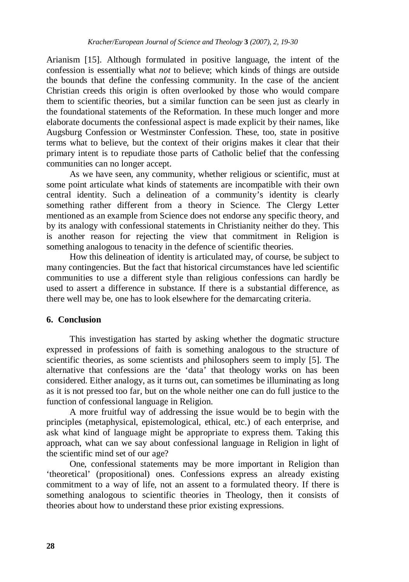Arianism [15]. Although formulated in positive language, the intent of the confession is essentially what *not* to believe; which kinds of things are outside the bounds that define the confessing community. In the case of the ancient Christian creeds this origin is often overlooked by those who would compare them to scientific theories, but a similar function can be seen just as clearly in the foundational statements of the Reformation. In these much longer and more elaborate documents the confessional aspect is made explicit by their names, like Augsburg Confession or Westminster Confession. These, too, state in positive terms what to believe, but the context of their origins makes it clear that their primary intent is to repudiate those parts of Catholic belief that the confessing communities can no longer accept.

 As we have seen, any community, whether religious or scientific, must at some point articulate what kinds of statements are incompatible with their own central identity. Such a delineation of a community's identity is clearly something rather different from a theory in Science. The Clergy Letter mentioned as an example from Science does not endorse any specific theory, and by its analogy with confessional statements in Christianity neither do they. This is another reason for rejecting the view that commitment in Religion is something analogous to tenacity in the defence of scientific theories.

 How this delineation of identity is articulated may, of course, be subject to many contingencies. But the fact that historical circumstances have led scientific communities to use a different style than religious confessions can hardly be used to assert a difference in substance. If there is a substantial difference, as there well may be, one has to look elsewhere for the demarcating criteria.

#### **6. Conclusion**

 This investigation has started by asking whether the dogmatic structure expressed in professions of faith is something analogous to the structure of scientific theories, as some scientists and philosophers seem to imply [5]. The alternative that confessions are the 'data' that theology works on has been considered. Either analogy, as it turns out, can sometimes be illuminating as long as it is not pressed too far, but on the whole neither one can do full justice to the function of confessional language in Religion.

A more fruitful way of addressing the issue would be to begin with the principles (metaphysical, epistemological, ethical, etc.) of each enterprise, and ask what kind of language might be appropriate to express them. Taking this approach, what can we say about confessional language in Religion in light of the scientific mind set of our age?

One, confessional statements may be more important in Religion than 'theoretical' (propositional) ones. Confessions express an already existing commitment to a way of life, not an assent to a formulated theory. If there is something analogous to scientific theories in Theology, then it consists of theories about how to understand these prior existing expressions.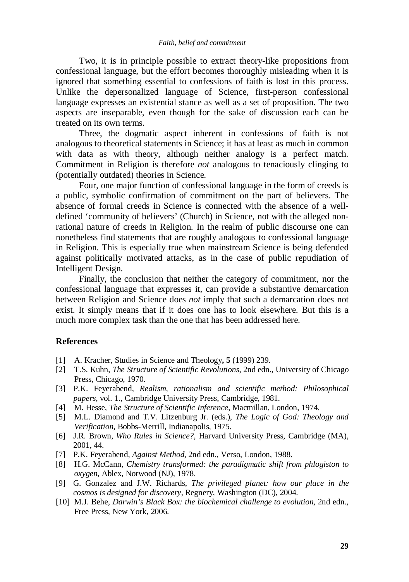Two, it is in principle possible to extract theory-like propositions from confessional language, but the effort becomes thoroughly misleading when it is ignored that something essential to confessions of faith is lost in this process. Unlike the depersonalized language of Science, first-person confessional language expresses an existential stance as well as a set of proposition. The two aspects are inseparable, even though for the sake of discussion each can be treated on its own terms.

Three, the dogmatic aspect inherent in confessions of faith is not analogous to theoretical statements in Science; it has at least as much in common with data as with theory, although neither analogy is a perfect match. Commitment in Religion is therefore *not* analogous to tenaciously clinging to (potentially outdated) theories in Science.

Four, one major function of confessional language in the form of creeds is a public, symbolic confirmation of commitment on the part of believers. The absence of formal creeds in Science is connected with the absence of a welldefined 'community of believers' (Church) in Science, not with the alleged nonrational nature of creeds in Religion. In the realm of public discourse one can nonetheless find statements that are roughly analogous to confessional language in Religion. This is especially true when mainstream Science is being defended against politically motivated attacks, as in the case of public repudiation of Intelligent Design.

Finally, the conclusion that neither the category of commitment, nor the confessional language that expresses it, can provide a substantive demarcation between Religion and Science does *not* imply that such a demarcation does not exist. It simply means that if it does one has to look elsewhere. But this is a much more complex task than the one that has been addressed here.

#### **References**

- [1] A. Kracher, Studies in Science and Theology**, 5** (1999) 239.
- [2] T.S. Kuhn, *The Structure of Scientific Revolutions*, 2nd edn., University of Chicago Press, Chicago, 1970.
- [3] P.K. Feyerabend, *Realism, rationalism and scientific method: Philosophical papers*, vol. 1., Cambridge University Press, Cambridge, 1981.
- [4] M. Hesse, *The Structure of Scientific Inference*, Macmillan, London, 1974.
- [5] M.L. Diamond and T.V. Litzenburg Jr. (eds.), *The Logic of God: Theology and Verification,* Bobbs-Merrill, Indianapolis, 1975.
- [6] J.R. Brown, *Who Rules in Science?*, Harvard University Press, Cambridge (MA), 2001, 44.
- [7]P.K. Feyerabend, *Against Method*, 2nd edn., Verso, London, 1988.
- [8] H.G. McCann, *Chemistry transformed: the paradigmatic shift from phlogiston to oxygen*, Ablex, Norwood (NJ), 1978.
- [9] G. Gonzalez and J.W. Richards, *The privileged planet: how our place in the cosmos is designed for discovery*, Regnery, Washington (DC), 2004.
- [10] M.J. Behe, *Darwin's Black Box: the biochemical challenge to evolution*, 2nd edn., Free Press, New York, 2006.